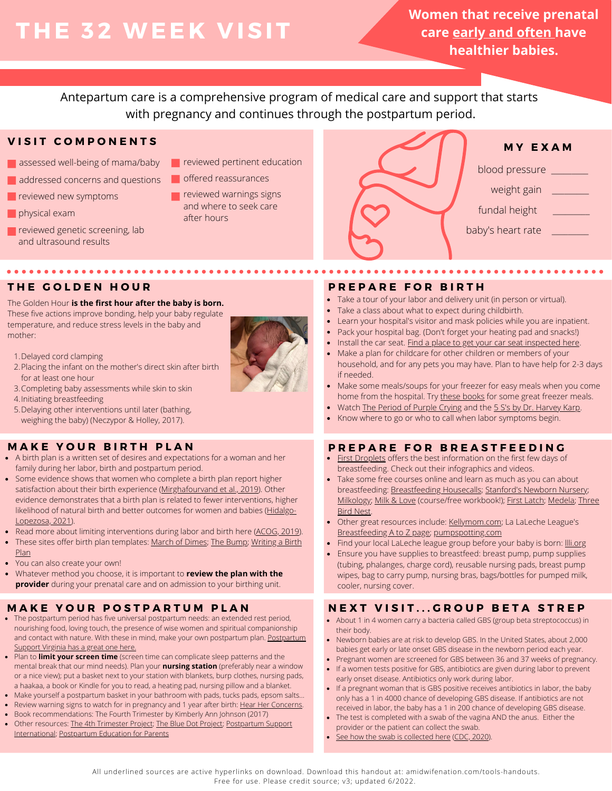# **THE 32 WEE K V ISIT**

**Women that receive prenatal care early and often have healthier babies.**

Antepartum care is a comprehensive program of medical care and support that starts with pregnancy and continues through the postpartum period.

# **V I S I T C O M P O N E N T S**

- assessed well-being of mama/baby
- addressed concerns and questions
- **reviewed new symptoms**
- **physical exam**
- **reviewed genetic screening, lab** and ultrasound results
- **Particle reviewed pertinent education**
- offered reassurances
- **T** reviewed warnings signs and where to seek care after hours



**\*\*\*\*\*\*\*\*\*\*\*** 

# **\*\*\*\*\*\*\*\*\*\*\*\*\*\*\*\***

## The Golden Hour **is the first hour after the baby is born.**

These five actions improve bonding, help your baby regulate temperature, and reduce stress levels in the baby and mother:

- 1. Delayed cord clamping
- 2. Placing the infant on the mother's direct skin after birth for at least one hour
- 3. Completing baby assessments while skin to skin
- 4. Initiating breastfeeding
- 5. Delaying other interventions until later (bathing, weighing the baby) (Neczypor & Holley, 2017).

# **M A K E Y O U R B I R T H P L A N**

A birth plan is a written set of desires and expectations for a woman and her family during her labor, birth and postpartum period.

 $\mathbf{A} = \mathbf{A} + \mathbf{A} + \mathbf{A}$ 

- Some evidence shows that women who complete a birth plan report higher satisfaction about their birth experience [\(Mirghafourvand et al., 2019\)](https://pubmed.ncbi.nlm.nih.gov/30675962/). Other evidence demonstrates that a birth plan is related to fewer interventions, higher likelihood of natural birth and better outcomes for women and babies ([Hidalgo-](https://pubmed.ncbi.nlm.nih.gov/33430039/)[Lopezosa, 2021](https://pubmed.ncbi.nlm.nih.gov/33430039/)).
- Read more about limiting interventions during labor and birth here ([ACOG, 2019\)](https://www.acog.org/clinical/clinical-guidance/committee-opinion/articles/2019/02/approaches-to-limit-intervention-during-labor-and-birth).
- These sites offer birth plan templates: [March of Dimes;](https://www.marchofdimes.org/materials/March-of-Dimes-Birth-Plan-2020.pdf) [The Bump;](https://images.thebump.com/tools/pdfs/birth_plan.pdf) [Writing a Birth](https://onlinelibrary.wiley.com/doi/pdf/10.1111/jmwh.12192) [Plan](https://onlinelibrary.wiley.com/doi/pdf/10.1111/jmwh.12192)
- You can also create your own!
- Whatever method you choose, it is important to **review the plan with the provider** during your prenatal care and on admission to your birthing unit.

- The postpartum period has five universal postpartum needs: an extended rest period, nourishing food, loving touch, the presence of wise women and spiritual companionship and contact with nature. With these in mind, make your own postpartum plan. [Postpartum](https://postpartumva.org/wp-content/uploads/2020/11/PSVA_PostpartumPlan_090820.pdf) [Support Virginia has a great one here.](https://postpartumva.org/wp-content/uploads/2020/11/PSVA_PostpartumPlan_090820.pdf)
- Plan to **limit your screen time** (screen time can complicate sleep patterns and the mental break that our mind needs). Plan your **nursing station** (preferably near a window or a nice view); put a basket next to your station with blankets, burp clothes, nursing pads, a haakaa, a book or Kindle for you to read, a heating pad, nursing pillow and a blanket.
- Make yourself a postpartum basket in your bathroom with pads, tucks pads, epsom salts...
- Review warning signs to watch for in pregnancy and 1 year after birth: [Hear Her Concerns](https://www.cdc.gov/hearher/maternal-warning-signs/index.html).
- Book recommendations: The Fourth Trimester by Kimberly Ann Johnson (2017)
- Other resources: [The 4th Trimester Project;](https://newmomhealth.com/) [The Blue Dot Project;](https://www.thebluedotproject.org/) [Postpartum Support](https://www.postpartum.net/) [International;](https://www.postpartum.net/) [Postpartum Education for Parents](https://www.sbpep.org/)

# **T H E G O L D E N H O U R P R E P A R E F O R B I R T H**

- Take a tour of your labor and delivery unit (in person or virtual).
- Take a class about what to expect during childbirth.
- Learn your hospital's visitor and mask policies while you are inpatient.
- Pack your hospital bag. (Don't forget your heating pad and snacks!)
- Install the car seat. [Find a place to get your car seat inspected here.](https://www.nhtsa.gov/equipment/car-seats-and-booster-seats#installation-help-inspection)
- Make a plan for childcare for other children or members of your household, and for any pets you may have. Plan to have help for 2-3 days if needed.
- Make some meals/soups for your freezer for easy meals when you come home from the hospital. Try [these books](https://thrivinghomeblog.com/our-freezer-meal-cookbooks/) for some great freezer meals.
- Watch [The Period of Purple Crying](http://purplecrying.info/what-is-the-period-of-purple-crying.php) and the [5 S's by Dr. Harvey Karp.](https://www.youtube.com/watch?v=xRkRlvPGywM)
- Know where to go or who to call when labor symptoms begin.

# **P R E P A R E F O R B R E A S T F E E D I N G**

- [First Droplets](https://firstdroplets.com/) offers the best information on the first few days of breastfeeding. Check out their infographics and videos.
- Take some free courses online and learn as much as you can about breastfeeding: [Breastfeeding Housecalls;](https://www.breastfeedinghousecalls.com/free-online-breastfeeding-class.html) [Stanford's Newborn Nursery;](https://med.stanford.edu/newborns/professional-education/breastfeeding.html) [Milkology](https://milkology.org/free-breastfeeding-class); [Milk & Love](https://www.milkandlove.com.au/breastfeeding-online-classes-with-katie-james-ibclc/) (course/free workbook!); [First Latch;](https://www.firstlatch.net/resources/breastfeeding-classes-parents) [Medela;](https://www.medela.us/breastfeeding/medela-family) [Three](https://threebirdnest.org/breastfeeding-101-a-free-course-for-expectant-mamas/) [Bird Nest](https://threebirdnest.org/breastfeeding-101-a-free-course-for-expectant-mamas/).
- Other great resources include: [Kellymom.com;](http://kellymom.com/) La LaLeche League's [Breastfeeding A to Z page](https://www.llli.org/breastfeeding-info/); [pumpspotting.com](https://www.pumpspotting.com/story)
- Find your local LaLeche league group before your baby is born: [llli.org](http://llli.org/)
- Ensure you have supplies to breastfeed: breast pump, pump supplies (tubing, phalanges, charge cord), reusable nursing pads, breast pump wipes, bag to carry pump, nursing bras, bags/bottles for pumped milk, cooler, nursing cover.

# MAKE YOUR POSTPARTUM PLAN NEXT VISIT...GROUP BETA STREP

- About 1 in 4 women carry a bacteria called GBS (group beta streptococcus) in their body.
- Newborn babies are at risk to develop GBS. In the United States, about 2,000 babies get early or late onset GBS disease in the newborn period each year.
- Pregnant women are screened for GBS between 36 and 37 weeks of pregnancy.
- If a women tests positive for GBS, antibiotics are given during labor to prevent early onset disease. Antibiotics only work during labor.
- If a pregnant woman that is GBS positive receives antibiotics in labor, the baby only has a 1 in 4000 chance of developing GBS disease. If antibiotics are not received in labor, the baby has a 1 in 200 chance of developing GBS disease.
- The test is completed with a swab of the vagina AND the anus. Either the provider or the patient can collect the swab.
- [See how the swab is collected here](https://www.cdc.gov/groupbstrep/downloads/gbs_swab_sheet21.pdf) ([CDC, 2020](https://www.cdc.gov/groupbstrep/about/fast-facts.html#:~:text=About%201%20in%204%20pregnant,onset%20GBS%20disease%20in%20newborns.)).